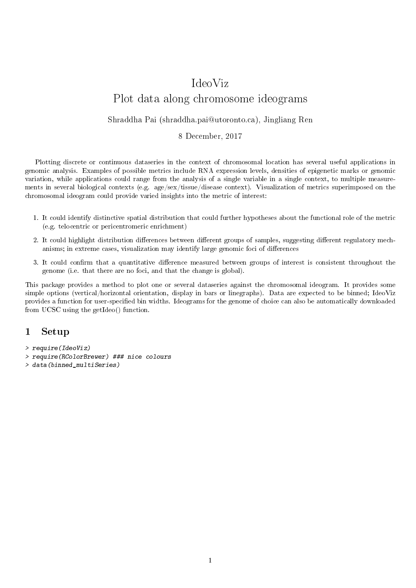# IdeoViz Plot data along chromosome ideograms

#### Shraddha Pai (shraddha.pai@utoronto.ca), Jingliang Ren

#### 8 December, 2017

Plotting discrete or continuous dataseries in the context of chromosomal location has several useful applications in genomic analysis. Examples of possible metrics include RNA expression levels, densities of epigenetic marks or genomic variation, while applications could range from the analysis of a single variable in a single context, to multiple measurements in several biological contexts (e.g. age/sex/tissue/disease context). Visualization of metrics superimposed on the chromosomal ideogram could provide varied insights into the metric of interest:

- 1. It could identify distinctive spatial distribution that could further hypotheses about the functional role of the metric (e.g. telocentric or pericentromeric enrichment)
- 2. It could highlight distribution differences between different groups of samples, suggesting different regulatory mechanisms; in extreme cases, visualization may identify large genomic foci of differences
- 3. It could confirm that a quantitative difference measured between groups of interest is consistent throughout the genome (i.e. that there are no foci, and that the change is global).

This package provides a method to plot one or several dataseries against the chromosomal ideogram. It provides some simple options (vertical/horizontal orientation, display in bars or linegraphs). Data are expected to be binned; IdeoViz provides a function for user-specified bin widths. Ideograms for the genome of choice can also be automatically downloaded from UCSC using the getIdeo() function.

### 1 Setup

- > require(IdeoViz)
- > require(RColorBrewer) ### nice colours
- > data(binned\_multiSeries)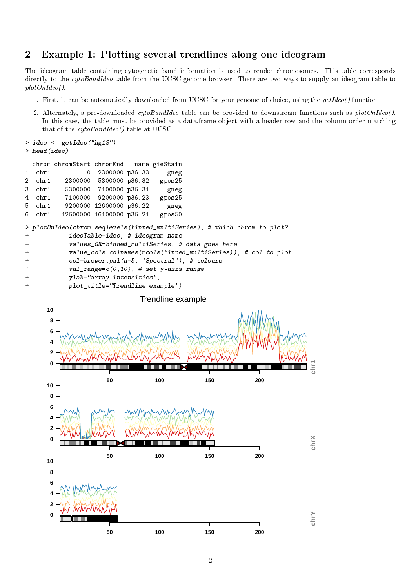## 2 Example 1: Plotting several trendlines along one ideogram

The ideogram table containing cytogenetic band information is used to render chromosomes. This table corresponds directly to the cytoBandIdeo table from the UCSC genome browser. There are two ways to supply an ideogram table to plotOnIdeo():

- 1. First, it can be automatically downloaded from UCSC for your genome of choice, using the getIdeo() function.
- 2. Alternately, a pre-downloaded *cytoBandIdeo* table can be provided to downstream functions such as  $plotOnIdeo()$ . In this case, the table must be provided as a data.frame object with a header row and the column order matching that of the cytoBandIdeo() table at UCSC.

```
> head(ideo)
 chrom chromStart chromEnd name gieStain
1 chr1 0 2300000 p36.33 gneg
2 chr1 2300000 5300000 p36.32 gpos25
3 chr1 5300000 7100000 p36.31 gneg
4 chr1 7100000 9200000 p36.23 gpos25
5 chr1 9200000 12600000 p36.22 gneg
6 chr1 12600000 16100000 p36.21 gpos50
> plotOnIdeo(chrom=seqlevels(binned_multiSeries), # which chrom to plot?
+ ideoTable=ideo, # ideogram name
+ values_GR=binned_multiSeries, # data goes here
+ value_cols=colnames(mcols(binned_multiSeries)), # col to plot
+ col=brewer.pal(n=5, 'Spectral'), # colours
+ val_range=c(0,10), # set y-axis range
+ ylab="array intensities",
+ plot_title="Trendline example")
```
> ideo <- getIdeo("hg18")

#### Trendline example

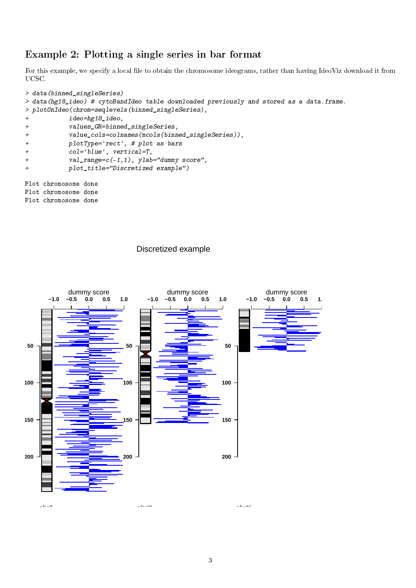## Example 2: Plotting a single series in bar format

For this example, we specify a local file to obtain the chromosome ideograms, rather than having IdeoViz download it from UCSC.

```
> data(binned_singleSeries)
> data(hg18_ideo) # cytoBandIdeo table downloaded previously and stored as a data.frame.
> plotOnIdeo(chrom=seqlevels(binned_singleSeries),
+ ideo=hg18_ideo,
+ values_GR=binned_singleSeries,
+ value_cols=colnames(mcols(binned_singleSeries)),
+ plotType='rect', # plot as bars
+ col='blue', vertical=T,
+ val_range=c(-1,1), ylab="dummy score",
+ plot_title="Discretized example")
Plot chromosome done
Plot chromosome done
Plot chromosome done
```
#### Discretized example

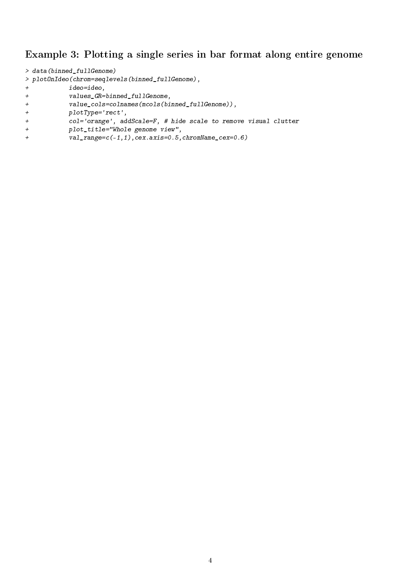## Example 3: Plotting a single series in bar format along entire genome

```
> data(binned_fullGenome)
> plotOnIdeo(chrom=seqlevels(binned_fullGenome),
+ ideo=ideo,
+ values_GR=binned_fullGenome,
+ value_cols=colnames(mcols(binned_fullGenome)),
+ plotType='rect',
+ col='orange', addScale=F, # hide scale to remove visual clutter
```
- + plot\_title="Whole genome view",
- + val\_range=c(-1,1),cex.axis=0.5,chromName\_cex=0.6)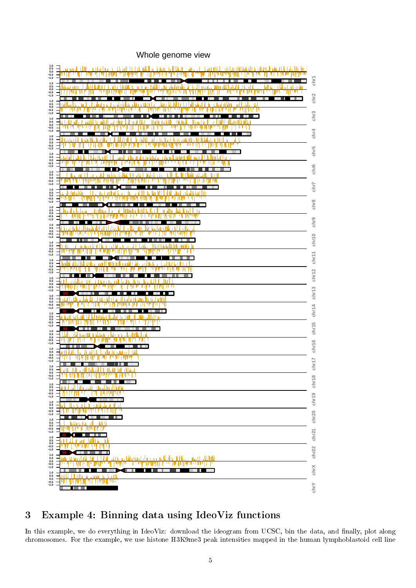## Whole genome view

| $\begin{array}{c} 1.0 \\ 0.5 \\ 0.0 \\ -0.5 \\ -1.0 \end{array}$<br>иH<br>щ<br>זוו וו<br>пΙ                                                                                                                                                      |                               |
|--------------------------------------------------------------------------------------------------------------------------------------------------------------------------------------------------------------------------------------------------|-------------------------------|
| $\begin{array}{c} 1.0 \\ 0.5 \\ 0.0 \\ -0.5 \\ -1.0 \end{array}$<br>ш<br>   <br>ur<br>ш<br>۷I                                                                                                                                                    | chr1<br>chr2                  |
| $\begin{array}{c} 1.0 \\ 0.5 \\ 0.0 \\ -0.5 \\ -1.0 \end{array}$<br>шт                                                                                                                                                                           |                               |
| $\substack{1.0\\0.5}$<br>$0.0$ <sub>-0.5</sub><br>$-1.0$                                                                                                                                                                                         | chr <sub>3</sub>              |
| $\begin{array}{c} 1.0 \\ 0.5 \\ 0.0 \end{array}$<br>$-0.5$<br>$-1.0$                                                                                                                                                                             | chr4                          |
| $\begin{array}{c} 1.0 \\ 0.5 \end{array}$<br>$0.0\,$<br>$-0.5$<br>$-1.0$                                                                                                                                                                         | chr5                          |
| $1.0$<br>0.5<br>$0.0\,$<br>$-0.5$                                                                                                                                                                                                                | chr6                          |
| $-1.0$<br>$1.0$<br>0.5<br>$0.0$<br>-0.5<br>-1.0<br>чυ                                                                                                                                                                                            | chr7                          |
| $1.0$<br>0.5<br>$0.0 - 0.5 - 1.0$                                                                                                                                                                                                                | chr8                          |
| $1.0\,$<br>$\mathbf{0.5}$<br>$0.0 - 0.5 - 1.0$                                                                                                                                                                                                   | chr9                          |
| $\begin{array}{c} 1.0 \\ 0.5 \\ 0.0 \\ -0.5 \\ -1.0 \end{array}$                                                                                                                                                                                 |                               |
| $\begin{array}{c} 1.0 \\ 0.5 \\ 0.0 \\ -0.5 \\ -1.0 \end{array}$                                                                                                                                                                                 | chr14 chr13 chr12 chr11 chr10 |
| $\begin{array}{c} \textbf{1.0} \\ \textbf{0.5} \\ \textbf{0.0} \end{array}$                                                                                                                                                                      |                               |
| $-0.5$<br>$-1.0$<br>$\begin{array}{c} 1.0 \\ 0.5 \\ 0.0 \\ -0.5 \\ -1.0 \end{array}$                                                                                                                                                             |                               |
| $\begin{array}{c} 1.0 \\ 0.5 \\ 0.0 \\ -0.5 \end{array}$                                                                                                                                                                                         |                               |
| $-1.0$<br>$\begin{array}{c} \textbf{1.0} \\ \textbf{0.5} \\ \textbf{0.0} \end{array}$                                                                                                                                                            | chr15                         |
| $-0.5$<br>$-1.0$<br>$\substack{1.0\\0.5}$                                                                                                                                                                                                        | chr17 chr16                   |
| $0.0 - 0.5$<br>$-1.0$<br>$1.0$<br>$0.5$<br>$0.0$                                                                                                                                                                                                 |                               |
| -v.a<br>ш<br>ш<br>.<br>$-1.0$                                                                                                                                                                                                                    |                               |
| $\begin{array}{c} 1.0 \\ 0.5 \\ 0.0 \\ -0.5 \\ -1.0 \end{array}$<br>Ч                                                                                                                                                                            |                               |
| $\begin{array}{c} 1.0 \\ 0.5 \\ 0.0 \\ -0.5 \\ -1.0 \end{array}$<br>F<br>$1.0\,$                                                                                                                                                                 |                               |
| $0.5$<br>0.0<br>-0.5<br>-1.0<br>ապող<br>п<br>8 H H                                                                                                                                                                                               |                               |
| $\begin{array}{c} 1.0 \\ 0.5 \\ 0.0 \\ -0.5 \\ -1.0 \end{array}$<br>art<br>n bin bin<br>٦ı                                                                                                                                                       | chr22 chr21 chr20 chr19 chr18 |
| $\begin{array}{c} 1.0 \\ 0.5 \\ 0.0 \\ -0.5 \\ -1.0 \end{array}$<br>ratt in my bibliotismed a barrow of the United States.<br><b>Hack</b><br>JUMI<br>44<br>للمشاهد فباللغل فالمركا بالخامان بالمتأمنين<br>היינוק<br>ang pr<br>Ш<br>. .<br>ш<br>I | chrX                          |
| $\begin{array}{c} 1.0 \\ 0.5 \\ 0.0 \\ -0.5 \\ -1.0 \end{array}$<br>пm<br>WYW I J<br>ויויון<br>'''I<br>PP L<br>Ш<br>ш<br>H                                                                                                                       | chrY                          |

## 3 Example 4: Binning data using IdeoViz functions

In this example, we do everything in IdeoViz: download the ideogram from UCSC, bin the data, and finally, plot along chromosomes. For the example, we use histone H3K9me3 peak intensities mapped in the human lymphoblastoid cell line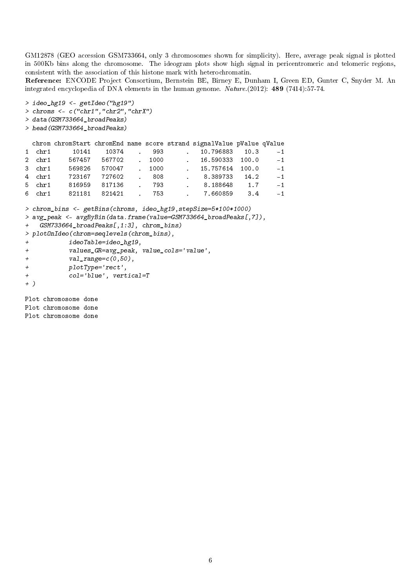GM12878 (GEO accession GSM733664, only 3 chromosomes shown for simplicity). Here, average peak signal is plotted in 500Kb bins along the chromosome. The ideogram plots show high signal in pericentromeric and telomeric regions, consistent with the association of this histone mark with heterochromatin.

Reference: ENCODE Project Consortium, Bernstein BE, Birney E, Dunham I, Green ED, Gunter C, Snyder M. An integrated encyclopedia of DNA elements in the human genome. Nature.(2012): 489 (7414):57-74.

```
> ideo_hg19 <- getIdeo("hg19")
> chroms \leq c("chr1", "chr2", "chrX")
```
> data(GSM733664\_broadPeaks)

```
> head(GSM733664_broadPeaks)
```
#### chrom chromStart chromEnd name score strand signalValue pValue qValue

|          | 1 chr1 10141 10374 . 993                      |  |  | 10.796883 10.3      | $-1$ |
|----------|-----------------------------------------------|--|--|---------------------|------|
| $2$ chr1 | 567457 567702 . 1000                          |  |  | $16.590333$ $100.0$ | $-1$ |
|          | 3 chr1 569826 570047 . 1000 . 15.757614 100.0 |  |  |                     | $-1$ |
|          | 4 chr1 723167 727602 . 808 . 8.389733 14.2    |  |  |                     | $-1$ |
|          | 5 chr1 816959 817136 , 793                    |  |  | 6.188648 1.7        | $-1$ |
|          |                                               |  |  |                     | $-1$ |
|          |                                               |  |  |                     |      |

```
> chrom_bins <- getBins(chroms, ideo_hg19,stepSize=5*100*1000)
> avg_peak <- avgByBin(data.frame(value=GSM733664_broadPeaks[,7]),
   GSM733664_broadPeaks[,1:3], chrom_bins)
> plotOnIdeo(chrom=seqlevels(chrom_bins),
+ ideoTable=ideo_hg19,
+ values_GR=avg_peak, value_cols='value',
+ val_range=c(0,50),
+ plotType='rect',
+ col='blue', vertical=T
+ )
```
Plot chromosome done Plot chromosome done Plot chromosome done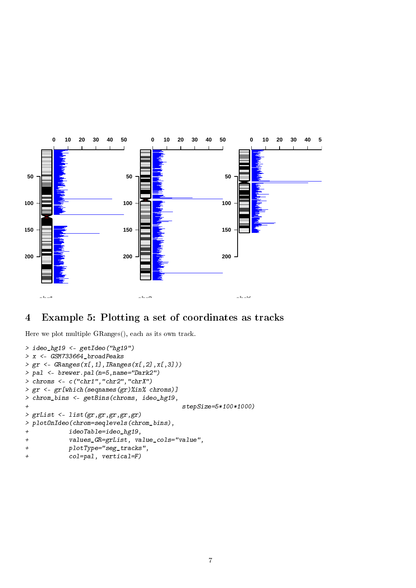

## 4 Example 5: Plotting a set of coordinates as tracks

Here we plot multiple GRanges(), each as its own track.

```
> ideo_hg19 <- getIdeo("hg19")
> x <- GSM733664_broadPeaks
> gr \leftarrow GRanges(x[,1], IRanges(x[,2], x[,3]))
> pal <- brewer.pal(n=5,name="Dark2")
> chroms \leq c("chr1", "chr2", "chrX")
> gr <- gr[which(seqnames(gr)%in% chroms)]
> chrom_bins <- getBins(chroms, ideo_hg19,
+ stepSize=5*100*1000)
> grList <- list(gr,gr,gr,gr,gr)
> plotOnIdeo(chrom=seqlevels(chrom_bins),
+ ideoTable=ideo_hg19,
+ values_GR=grList, value_cols="value",
+ plotType="seg_tracks",
+ col=pal, vertical=F)
```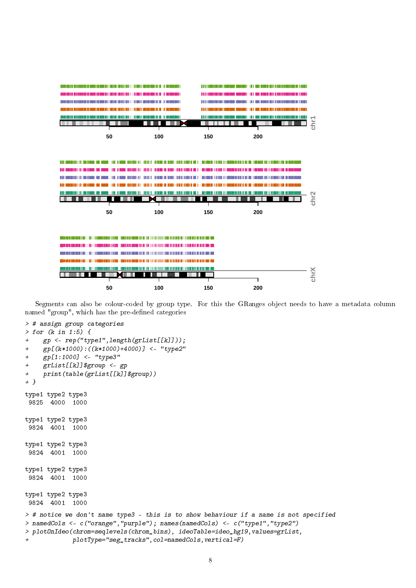

Segments can also be colour-coded by group type. For this the GRanges object needs to have a metadata column named "group", which has the pre-defined categories

```
> for (k in 1:5) {
+ gp <- rep("type1",length(grList[[k]]));
+ gp[(k*1000):((k*1000)+4000)] <- "type2"
+ gp[1:1000] <- "type3"
+ grList[[k]]$group <- gp
+ print(table(grList[[k]]$group))
+ }
type1 type2 type3
9825 4000 1000
type1 type2 type3
9824 4001 1000
type1 type2 type3
9824 4001 1000
type1 type2 type3
9824 4001 1000
type1 type2 type3
9824 4001 1000
> # notice we don't name type3 - this is to show behaviour if a name is not specified
> namedCols <- c("orange","purple"); names(namedCols) <- c("type1","type2")
> plotOnIdeo(chrom=seqlevels(chrom_bins), ideoTable=ideo_hg19,values=grList,
+ plotType="seg_tracks",col=namedCols,vertical=F)
```
> # assign group categories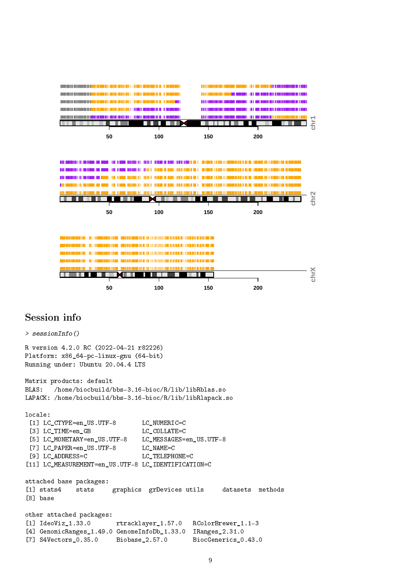

## Session info

```
> sessionInfo()
R version 4.2.0 RC (2022-04-21 r82226)
Platform: x86_64-pc-linux-gnu (64-bit)
Running under: Ubuntu 20.04.4 LTS
Matrix products: default
BLAS: /home/biocbuild/bbs-3.16-bioc/R/lib/libRblas.so
LAPACK: /home/biocbuild/bbs-3.16-bioc/R/lib/libRlapack.so
locale:
 [1] LC_CTYPE=en_US.UTF-8 LC_NUMERIC=C
 [3] LC_TIME=en_GB LC_COLLATE=C
 [5] LC_MONETARY=en_US.UTF-8 LC_MESSAGES=en_US.UTF-8
 [7] LC_PAPER=en_US.UTF-8 LC_NAME=C
 [9] LC_ADDRESS=C LC_TELEPHONE=C
[11] LC_MEASUREMENT=en_US.UTF-8 LC_IDENTIFICATION=C
attached base packages:
[1] stats4 stats graphics grDevices utils datasets methods
[8] base
other attached packages:
[1] IdeoViz_1.33.0 rtracklayer_1.57.0 RColorBrewer_1.1-3
[4] GenomicRanges_1.49.0 GenomeInfoDb_1.33.0 IRanges_2.31.0
[7] S4Vectors_0.35.0 Biobase_2.57.0 BiocGenerics_0.43.0
```